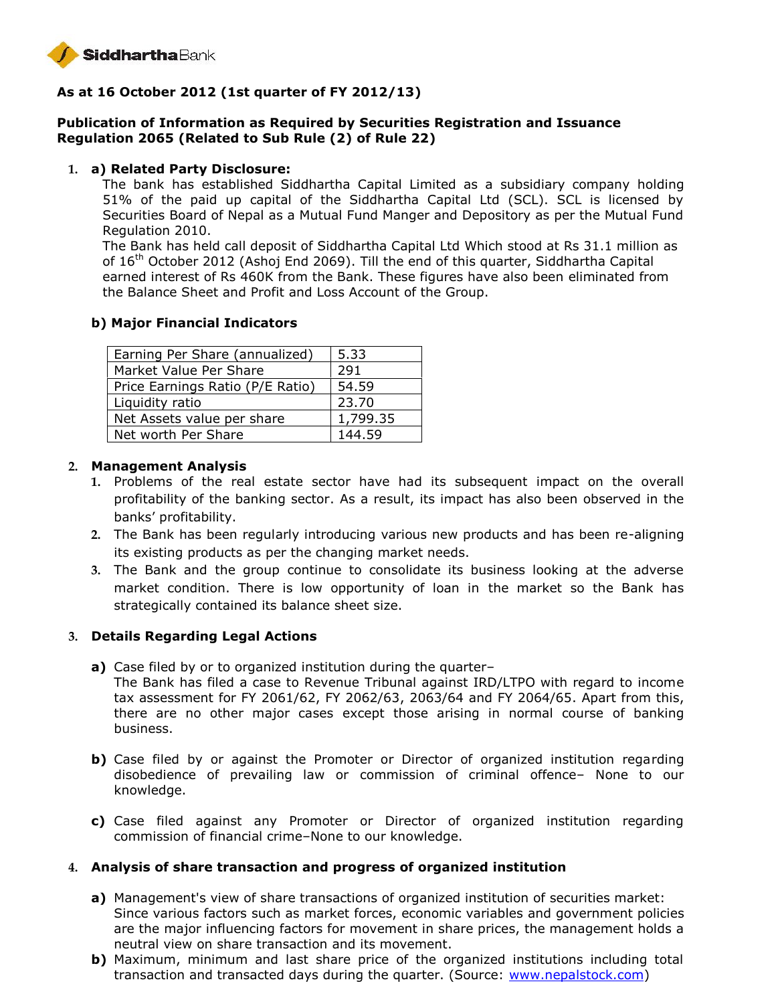

# **As at 16 October 2012 (1st quarter of FY 2012/13)**

# **Publication of Information as Required by Securities Registration and Issuance Regulation 2065 (Related to Sub Rule (2) of Rule 22)**

#### **1. a) Related Party Disclosure:**

The bank has established Siddhartha Capital Limited as a subsidiary company holding 51% of the paid up capital of the Siddhartha Capital Ltd (SCL). SCL is licensed by Securities Board of Nepal as a Mutual Fund Manger and Depository as per the Mutual Fund Regulation 2010.

The Bank has held call deposit of Siddhartha Capital Ltd Which stood at Rs 31.1 million as of  $16<sup>th</sup>$  October 2012 (Ashoj End 2069). Till the end of this quarter, Siddhartha Capital earned interest of Rs 460K from the Bank. These figures have also been eliminated from the Balance Sheet and Profit and Loss Account of the Group.

## **b) Major Financial Indicators**

| Earning Per Share (annualized)   | 5.33     |
|----------------------------------|----------|
| Market Value Per Share           | 291      |
| Price Earnings Ratio (P/E Ratio) | 54.59    |
| Liquidity ratio                  | 23.70    |
| Net Assets value per share       | 1,799.35 |
| Net worth Per Share              | 144.59   |

#### **2. Management Analysis**

- **1.** Problems of the real estate sector have had its subsequent impact on the overall profitability of the banking sector. As a result, its impact has also been observed in the banks' profitability.
- **2.** The Bank has been regularly introducing various new products and has been re-aligning its existing products as per the changing market needs.
- **3.** The Bank and the group continue to consolidate its business looking at the adverse market condition. There is low opportunity of loan in the market so the Bank has strategically contained its balance sheet size.

## **3. Details Regarding Legal Actions**

- **a)** Case filed by or to organized institution during the quarter–
	- The Bank has filed a case to Revenue Tribunal against IRD/LTPO with regard to income tax assessment for FY 2061/62, FY 2062/63, 2063/64 and FY 2064/65. Apart from this, there are no other major cases except those arising in normal course of banking business.
- **b)** Case filed by or against the Promoter or Director of organized institution regarding disobedience of prevailing law or commission of criminal offence– None to our knowledge.
- **c)** Case filed against any Promoter or Director of organized institution regarding commission of financial crime–None to our knowledge.

## **4. Analysis of share transaction and progress of organized institution**

- **a)** Management's view of share transactions of organized institution of securities market: Since various factors such as market forces, economic variables and government policies are the major influencing factors for movement in share prices, the management holds a neutral view on share transaction and its movement.
- **b)** Maximum, minimum and last share price of the organized institutions including total transaction and transacted days during the quarter. (Source: www.nepalstock.com)